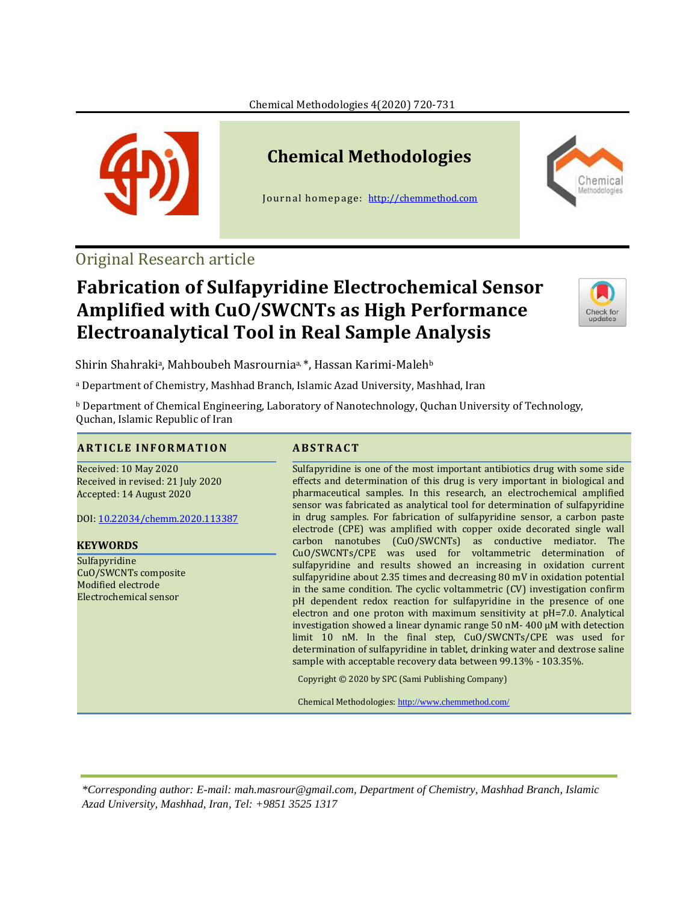

# **Chemical Methodologies**

Journal homepage: [http://chemmethod.com](http://chemmethod.com/)



## Original Research article

## **Fabrication of Sulfapyridine Electrochemical Sensor Amplified with CuO/SWCNTs as High Performance Electroanalytical Tool in Real Sample Analysis**



Shirin Shahraki<sup>a</sup>, Mahboubeh Masrournia<sup>a, \*</sup>, Hassan Karimi-Maleh<sup>b</sup>

<sup>a</sup> Department of Chemistry, Mashhad Branch, Islamic Azad University, Mashhad, Iran

<sup>b</sup> Department of Chemical Engineering, Laboratory of Nanotechnology, Quchan University of Technology, Quchan, Islamic Republic of Iran

#### **A R T I C L E I N F O R M A T I O N A B S T R A C T**

Received: 10 May 2020 Received in revised: 21 July 2020 Accepted: 14 August 2020

DOI: [10.22034/chemm.2020.113387](http://www.chemmethod.com/article_113387.html)

#### **KEYWORDS**

Sulfapyridine CuO/SWCNTs composite Modified electrode Electrochemical sensor

Sulfapyridine is one of the most important antibiotics drug with some side effects and determination of this drug is very important in biological and pharmaceutical samples. In this research, an electrochemical amplified sensor was fabricated as analytical tool for determination of sulfapyridine in drug samples. For fabrication of sulfapyridine sensor, a carbon paste electrode (CPE) was amplified with copper oxide decorated single wall carbon nanotubes (CuO/SWCNTs) as conductive mediator. The CuO/SWCNTs/CPE was used for voltammetric determination of sulfapyridine and results showed an increasing in oxidation current sulfapyridine about 2.35 times and decreasing 80 mV in oxidation potential in the same condition. The cyclic voltammetric (CV) investigation confirm pH dependent redox reaction for sulfapyridine in the presence of one electron and one proton with maximum sensitivity at pH=7.0. Analytical investigation showed a linear dynamic range 50 nM- 400 µM with detection limit 10 nM. In the final step, CuO/SWCNTs/CPE was used for determination of sulfapyridine in tablet, drinking water and dextrose saline sample with acceptable recovery data between 99.13% - 103.35%.

Copyright © 2020 by SPC (Sami Publishing Company)

Chemical Methodologies: <http://www.chemmethod.com/>

*\*Corresponding author: E-mail: mah.masrour@gmail.com, Department of Chemistry, Mashhad Branch, Islamic Azad University, Mashhad, Iran, Tel: +9851 3525 1317*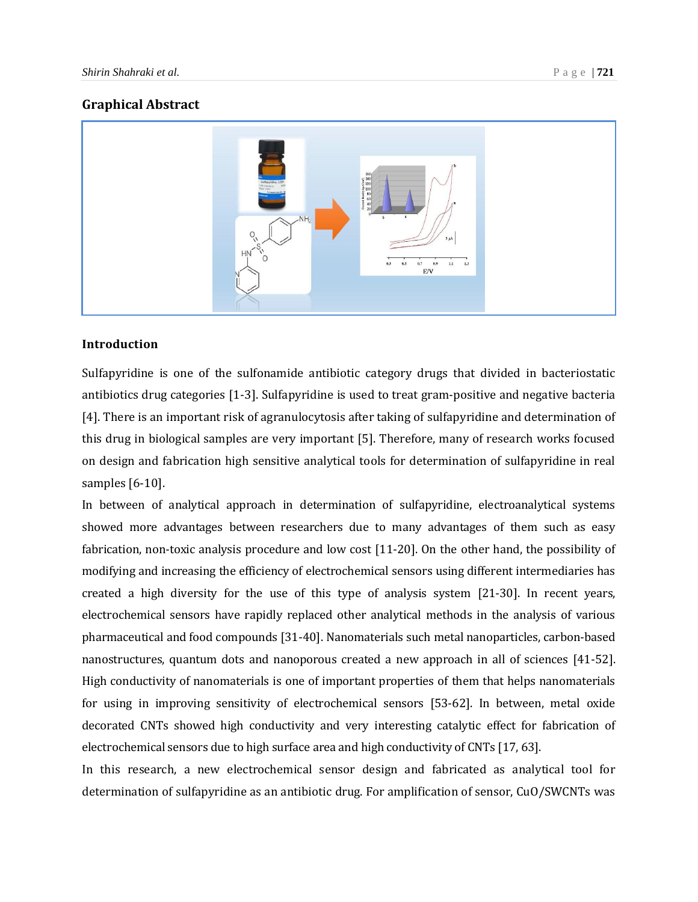#### **Graphical Abstract**



### **Introduction**

Sulfapyridine is one of the sulfonamide antibiotic category drugs that divided in bacteriostatic antibiotics drug categories [1-3]. Sulfapyridine is used to treat gram-positive and negative bacteria [4]. There is an important risk of agranulocytosis after taking of sulfapyridine and determination of this drug in biological samples are very important [5]. Therefore, many of research works focused on design and fabrication high sensitive analytical tools for determination of sulfapyridine in real samples [6-10].

In between of analytical approach in determination of sulfapyridine, electroanalytical systems showed more advantages between researchers due to many advantages of them such as easy fabrication, non-toxic analysis procedure and low cost [11-20]. On the other hand, the possibility of modifying and increasing the efficiency of electrochemical sensors using different intermediaries has created a high diversity for the use of this type of analysis system [21-30]. In recent years, electrochemical sensors have rapidly replaced other analytical methods in the analysis of various pharmaceutical and food compounds [31-40]. Nanomaterials such metal nanoparticles, carbon-based nanostructures, quantum dots and nanoporous created a new approach in all of sciences [41-52]. High conductivity of nanomaterials is one of important properties of them that helps nanomaterials for using in improving sensitivity of electrochemical sensors [53-62]. In between, metal oxide decorated CNTs showed high conductivity and very interesting catalytic effect for fabrication of electrochemical sensors due to high surface area and high conductivity of CNTs [17, 63].

In this research, a new electrochemical sensor design and fabricated as analytical tool for determination of sulfapyridine as an antibiotic drug. For amplification of sensor, CuO/SWCNTs was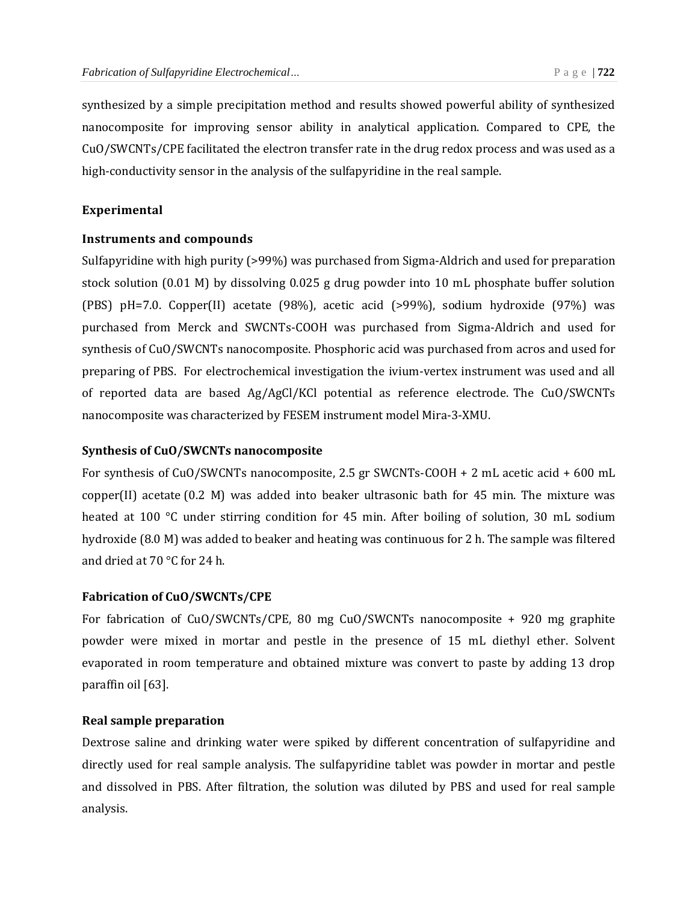synthesized by a simple precipitation method and results showed powerful ability of synthesized nanocomposite for improving sensor ability in analytical application. Compared to CPE, the CuO/SWCNTs/CPE facilitated the electron transfer rate in the drug redox process and was used as a high-conductivity sensor in the analysis of the sulfapyridine in the real sample.

#### **Experimental**

#### **Instruments and compounds**

Sulfapyridine with high purity (>99%) was purchased from Sigma-Aldrich and used for preparation stock solution (0.01 M) by dissolving 0.025 g drug powder into 10 mL phosphate buffer solution (PBS) pH=7.0. Copper(II) acetate (98%), acetic acid (>99%), sodium hydroxide (97%) was purchased from Merck and SWCNTs-COOH was purchased from Sigma-Aldrich and used for synthesis of CuO/SWCNTs nanocomposite. Phosphoric acid was purchased from acros and used for preparing of PBS. For electrochemical investigation the ivium-vertex instrument was used and all of reported data are based Ag/AgCl/KCl potential as reference electrode. The CuO/SWCNTs nanocomposite was characterized by FESEM instrument model Mira-3-XMU.

#### **Synthesis of CuO/SWCNTs nanocomposite**

For synthesis of CuO/SWCNTs nanocomposite, 2.5 gr SWCNTs-COOH + 2 mL acetic acid + 600 mL copper(II) acetate (0.2 M) was added into beaker ultrasonic bath for 45 min. The mixture was heated at 100 °C under stirring condition for 45 min. After boiling of solution, 30 mL sodium hydroxide (8.0 M) was added to beaker and heating was continuous for 2 h. The sample was filtered and dried at 70 °C for 24 h.

#### **Fabrication of CuO/SWCNTs/CPE**

For fabrication of CuO/SWCNTs/CPE, 80 mg CuO/SWCNTs nanocomposite + 920 mg graphite powder were mixed in mortar and pestle in the presence of 15 mL diethyl ether. Solvent evaporated in room temperature and obtained mixture was convert to paste by adding 13 drop paraffin oil [63].

#### **Real sample preparation**

Dextrose saline and drinking water were spiked by different concentration of sulfapyridine and directly used for real sample analysis. The sulfapyridine tablet was powder in mortar and pestle and dissolved in PBS. After filtration, the solution was diluted by PBS and used for real sample analysis.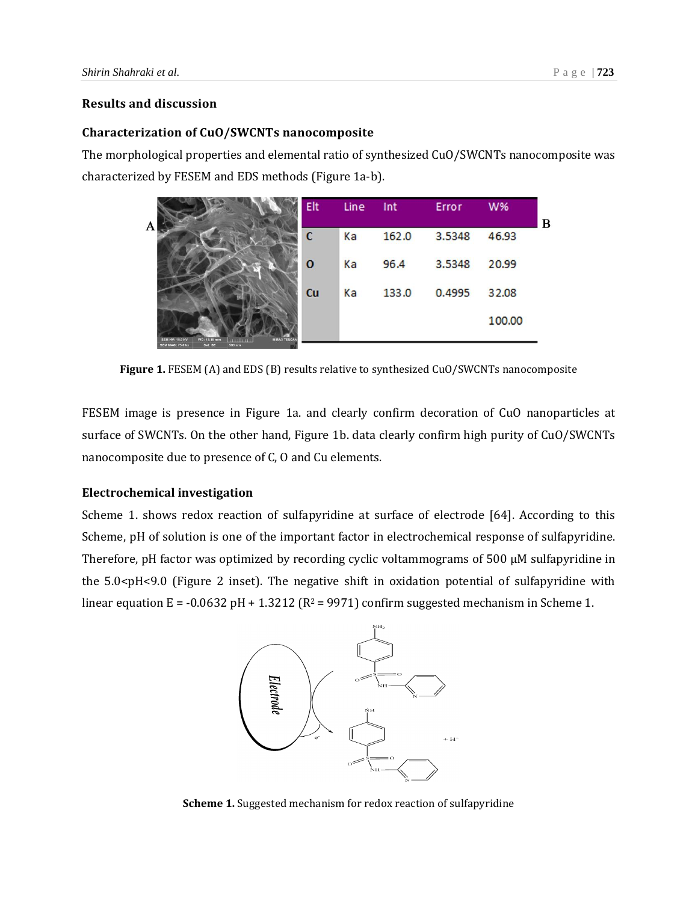#### **Results and discussion**

#### **Characterization of CuO/SWCNTs nanocomposite**

The morphological properties and elemental ratio of synthesized CuO/SWCNTs nanocomposite was characterized by FESEM and EDS methods (Figure 1a-b).

| A                                                                                                                                   | Elt | Line | Int   | Error  | W%     | B |
|-------------------------------------------------------------------------------------------------------------------------------------|-----|------|-------|--------|--------|---|
|                                                                                                                                     | C   | Ka   | 162.0 | 3.5348 | 46.93  |   |
|                                                                                                                                     | 0   | Ka   | 96.4  | 3.5348 | 20.99  |   |
|                                                                                                                                     | Cu  | Ka   | 133.0 | 0.4995 | 32.08  |   |
| <b>MIRA3 TESCAN</b><br><b>SEM HV: 15.0 kV</b><br>WD: 13.18 mm<br><b>INTERNATION</b><br>Det: SE<br>500 nm<br><b>SEM MAG: 75.0 kx</b> |     |      |       |        | 100.00 |   |

**Figure 1.** FESEM (A) and EDS (B) results relative to synthesized CuO/SWCNTs nanocomposite

FESEM image is presence in Figure 1a. and clearly confirm decoration of CuO nanoparticles at surface of SWCNTs. On the other hand, Figure 1b. data clearly confirm high purity of CuO/SWCNTs nanocomposite due to presence of C, O and Cu elements.

#### **Electrochemical investigation**

Scheme 1. shows redox reaction of sulfapyridine at surface of electrode [64]. According to this Scheme, pH of solution is one of the important factor in electrochemical response of sulfapyridine. Therefore, pH factor was optimized by recording cyclic voltammograms of 500 µM sulfapyridine in the 5.0<pH<9.0 (Figure 2 inset). The negative shift in oxidation potential of sulfapyridine with linear equation  $E = -0.0632$  pH + 1.3212 ( $R^2 = 9971$ ) confirm suggested mechanism in Scheme 1.



**Scheme 1.** Suggested mechanism for redox reaction of sulfapyridine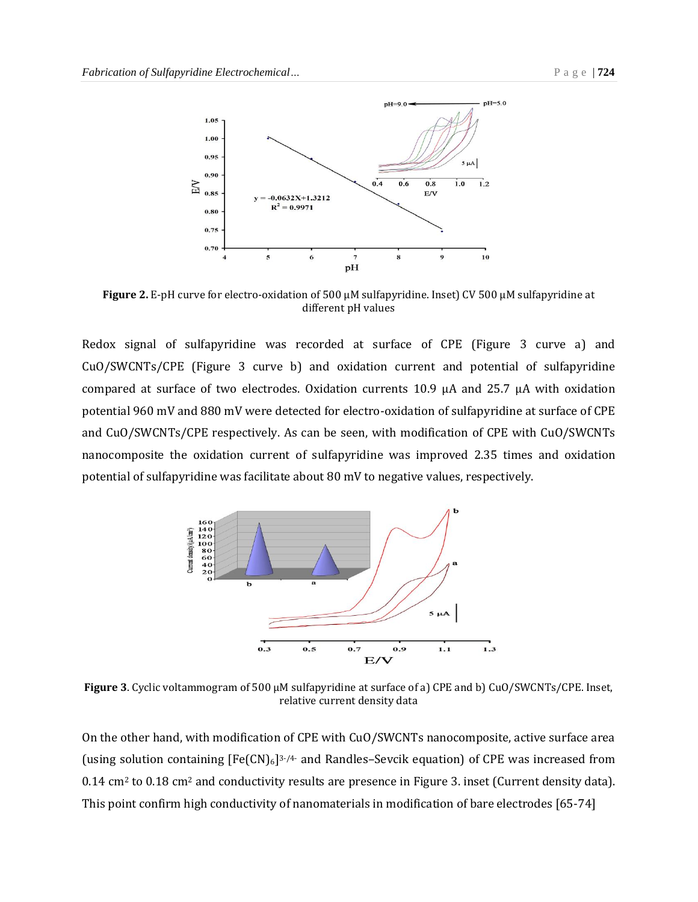

**Figure 2.** E-pH curve for electro-oxidation of 500 µM sulfapyridine. Inset) CV 500 µM sulfapyridine at different pH values

Redox signal of sulfapyridine was recorded at surface of CPE (Figure 3 curve a) and CuO/SWCNTs/CPE (Figure 3 curve b) and oxidation current and potential of sulfapyridine compared at surface of two electrodes. Oxidation currents 10.9 µA and 25.7 µA with oxidation potential 960 mV and 880 mV were detected for electro-oxidation of sulfapyridine at surface of CPE and CuO/SWCNTs/CPE respectively. As can be seen, with modification of CPE with CuO/SWCNTs nanocomposite the oxidation current of sulfapyridine was improved 2.35 times and oxidation potential of sulfapyridine was facilitate about 80 mV to negative values, respectively.



**Figure 3**. Cyclic voltammogram of 500 µM sulfapyridine at surface of a) CPE and b) CuO/SWCNTs/CPE. Inset, relative current density data

On the other hand, with modification of CPE with CuO/SWCNTs nanocomposite, active surface area (using solution containing  $[Fe(CN)_6]^{3-7/4}$  and Randles-Sevcik equation) of CPE was increased from 0.14 cm<sup>2</sup> to 0.18 cm<sup>2</sup> and conductivity results are presence in Figure 3. inset (Current density data). This point confirm high conductivity of nanomaterials in modification of bare electrodes [65-74]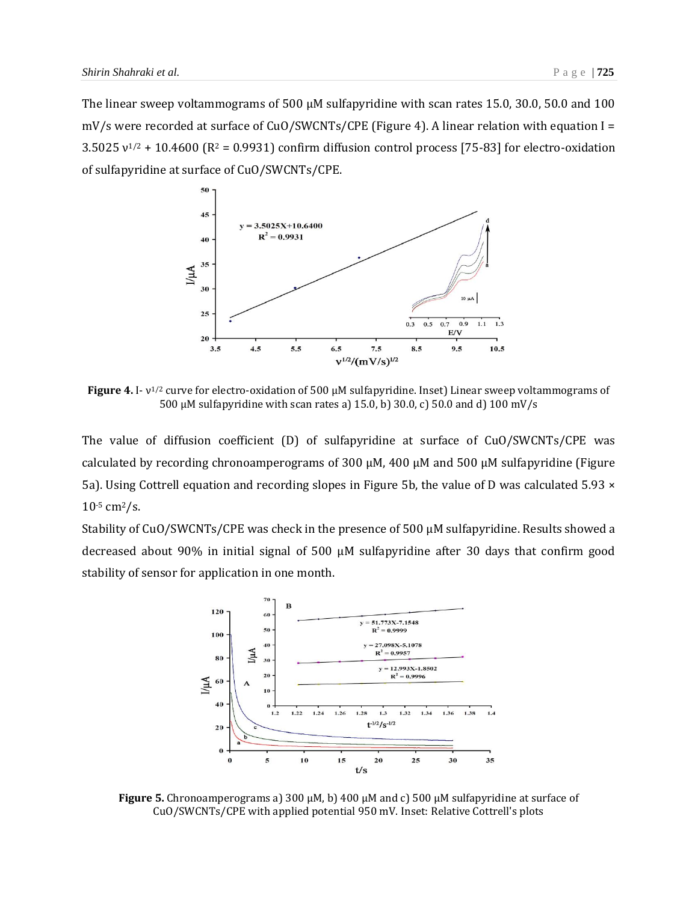The linear sweep voltammograms of 500  $\mu$ M sulfapyridine with scan rates 15.0, 30.0, 50.0 and 100 mV/s were recorded at surface of CuO/SWCNTs/CPE (Figure 4). A linear relation with equation I = 3.5025  $v^{1/2}$  + 10.4600 (R<sup>2</sup> = 0.9931) confirm diffusion control process [75-83] for electro-oxidation of sulfapyridine at surface of CuO/SWCNTs/CPE.



**Figure 4.** I- ν 1/2 curve for electro-oxidation of 500 µM sulfapyridine. Inset) Linear sweep voltammograms of 500 µM sulfapyridine with scan rates a) 15.0, b) 30.0, c) 50.0 and d) 100 mV/s

The value of diffusion coefficient (D) of sulfapyridine at surface of CuO/SWCNTs/CPE was calculated by recording chronoamperograms of 300  $\mu$ M, 400  $\mu$ M and 500  $\mu$ M sulfapyridine (Figure 5a). Using Cottrell equation and recording slopes in Figure 5b, the value of D was calculated 5.93  $\times$ 10-5 cm2/s.

Stability of CuO/SWCNTs/CPE was check in the presence of 500  $\mu$ M sulfapyridine. Results showed a decreased about 90% in initial signal of 500 µM sulfapyridine after 30 days that confirm good stability of sensor for application in one month.



**Figure 5.** Chronoamperograms a) 300 μM, b) 400 μM and c) 500 μM sulfapyridine at surface of CuO/SWCNTs/CPE with applied potential 950 mV. Inset: Relative Cottrell's plots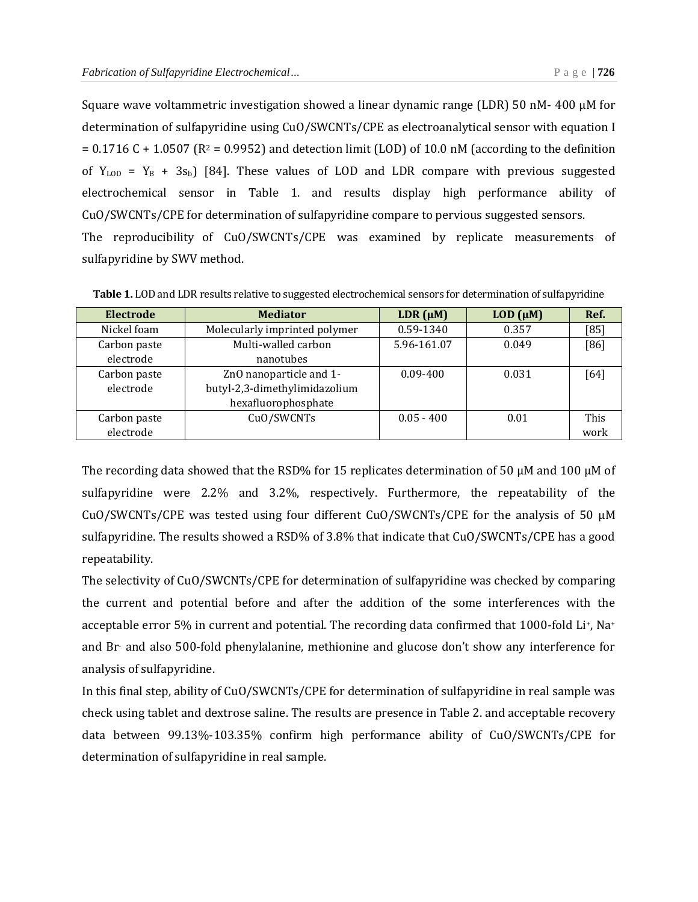Square wave voltammetric investigation showed a linear dynamic range (LDR) 50 nM- 400 µM for determination of sulfapyridine using CuO/SWCNTs/CPE as electroanalytical sensor with equation I  $= 0.1716$  C + 1.0507 (R<sup>2</sup> = 0.9952) and detection limit (LOD) of 10.0 nM (according to the definition of  $Y_{LOD} = Y_B + 3s_b$  [84]. These values of LOD and LDR compare with previous suggested electrochemical sensor in Table 1. and results display high performance ability of CuO/SWCNTs/CPE for determination of sulfapyridine compare to pervious suggested sensors. The reproducibility of CuO/SWCNTs/CPE was examined by replicate measurements of sulfapyridine by SWV method.

| Electrode    | <b>Mediator</b>               | LDR $(\mu M)$ | $LOD$ ( $\mu$ M) | Ref.   |
|--------------|-------------------------------|---------------|------------------|--------|
| Nickel foam  | Molecularly imprinted polymer | 0.59-1340     | 0.357            | $[85]$ |
| Carbon paste | Multi-walled carbon           | 5.96-161.07   | 0.049            | [86]   |
| electrode    | nanotubes                     |               |                  |        |
| Carbon paste | ZnO nanoparticle and 1-       | $0.09 - 400$  | 0.031            | [64]   |
| electrode    | butyl-2,3-dimethylimidazolium |               |                  |        |
|              | hexafluorophosphate           |               |                  |        |
| Carbon paste | CuO/SWCNTs                    | $0.05 - 400$  | 0.01             | This   |
| electrode    |                               |               |                  | work   |

**Table 1.** LOD and LDR results relative to suggested electrochemical sensors for determination of sulfapyridine

The recording data showed that the RSD% for 15 replicates determination of 50 μM and 100 μM of sulfapyridine were 2.2% and 3.2%, respectively. Furthermore, the repeatability of the CuO/SWCNTs/CPE was tested using four different CuO/SWCNTs/CPE for the analysis of 50  $\mu$ M sulfapyridine. The results showed a RSD% of 3.8% that indicate that CuO/SWCNTs/CPE has a good repeatability.

The selectivity of CuO/SWCNTs/CPE for determination of sulfapyridine was checked by comparing the current and potential before and after the addition of the some interferences with the acceptable error 5% in current and potential. The recording data confirmed that 1000-fold Li+, Na<sup>+</sup> and Br- and also 500-fold phenylalanine, methionine and glucose don't show any interference for analysis of sulfapyridine.

In this final step, ability of CuO/SWCNTs/CPE for determination of sulfapyridine in real sample was check using tablet and dextrose saline. The results are presence in Table 2. and acceptable recovery data between 99.13%-103.35% confirm high performance ability of CuO/SWCNTs/CPE for determination of sulfapyridine in real sample.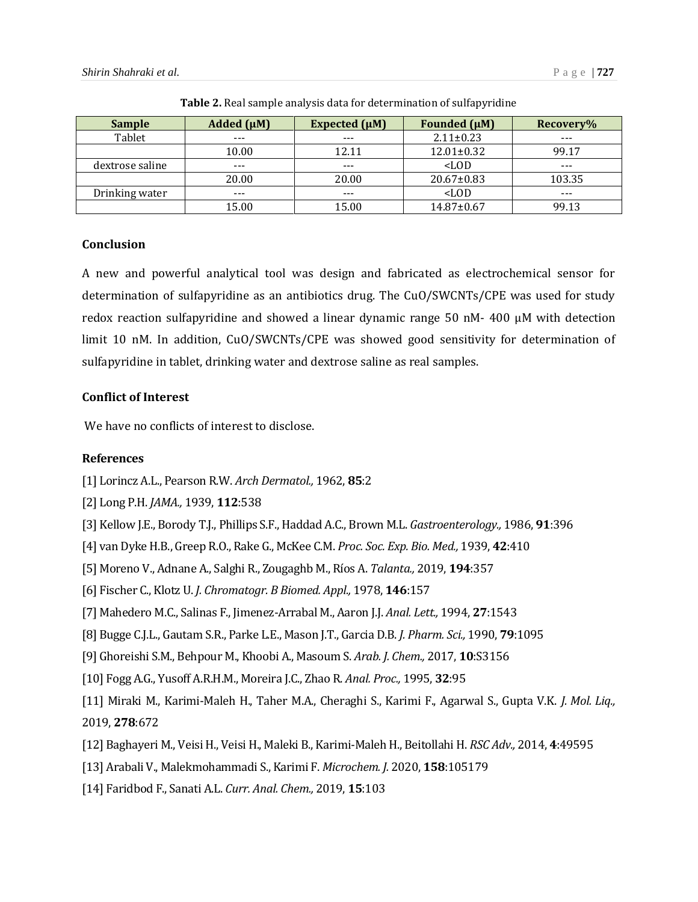| <b>Sample</b>   | Added $(\mu M)$ | Expected $(\mu M)$ | <b>Founded</b> (µM) | Recovery% |
|-----------------|-----------------|--------------------|---------------------|-----------|
| Tablet          | $- - -$         |                    | $2.11 \pm 0.23$     | $- - -$   |
|                 | 10.00           | 12.11              | $12.01 \pm 0.32$    | 99.17     |
| dextrose saline | $- - -$         | $- - -$            | $<$ LOD             | $- - -$   |
|                 | 20.00           | 20.00              | $20.67 \pm 0.83$    | 103.35    |
| Drinking water  | $- - -$         | $- - -$            | $<$ LOD             | $- - -$   |
|                 | 15.00           | 15.00              | $14.87 \pm 0.67$    | 99.13     |

**Table 2.** Real sample analysis data for determination of sulfapyridine

#### **Conclusion**

A new and powerful analytical tool was design and fabricated as electrochemical sensor for determination of sulfapyridine as an antibiotics drug. The CuO/SWCNTs/CPE was used for study redox reaction sulfapyridine and showed a linear dynamic range 50 nM- 400 µM with detection limit 10 nM. In addition, CuO/SWCNTs/CPE was showed good sensitivity for determination of sulfapyridine in tablet, drinking water and dextrose saline as real samples.

#### **Conflict of Interest**

We have no conflicts of interest to disclose.

#### **References**

- [1] Lorincz A.L., Pearson R.W. *Arch Dermatol.,* 1962, **85**:2
- [2] Long P.H. *JAMA.,* 1939, **112**:538
- [3] Kellow J.E., Borody T.J., Phillips S.F., Haddad A.C., Brown M.L. *Gastroenterology.,* 1986, **91**:396
- [4] van Dyke H.B., Greep R.O., Rake G., McKee C.M. *Proc. Soc. Exp. Bio. Med.,* 1939, **42**:410
- [5] Moreno V., Adnane A., Salghi R., Zougaghb M., Ríos A. *Talanta.,* 2019, **194**:357
- [6] Fischer C., Klotz U. *J. Chromatogr. B Biomed. Appl.,* 1978, **146**:157
- [7] Mahedero M.C., Salinas F., Jimenez-Arrabal M., Aaron J.J. *Anal. Lett.,* 1994, **27**:1543
- [8] Bugge C.J.L., Gautam S.R., Parke L.E., Mason J.T., Garcia D.B. *J. Pharm. Sci.,* 1990, **79**:1095
- [9] Ghoreishi S.M., Behpour M., Khoobi A., Masoum S. *Arab. J. Chem.,* 2017, **10**:S3156
- [10] Fogg A.G., Yusoff A.R.H.M., Moreira J.C., Zhao R. *Anal. Proc.,* 1995, **32**:95
- [11] Miraki M., Karimi-Maleh H., Taher M.A., Cheraghi S., Karimi F., Agarwal S., Gupta V.K. *J. Mol. Liq.,* 2019, **278**:672
- [12] Baghayeri M., Veisi H., Veisi H., Maleki B., Karimi-Maleh H., Beitollahi H. *RSC Adv.,* 2014, **4**:49595
- [13] Arabali V., Malekmohammadi S., Karimi F. *Microchem. J.* 2020, **158**:105179
- [14] Faridbod F., Sanati A.L. *Curr. Anal. Chem.,* 2019, **15**:103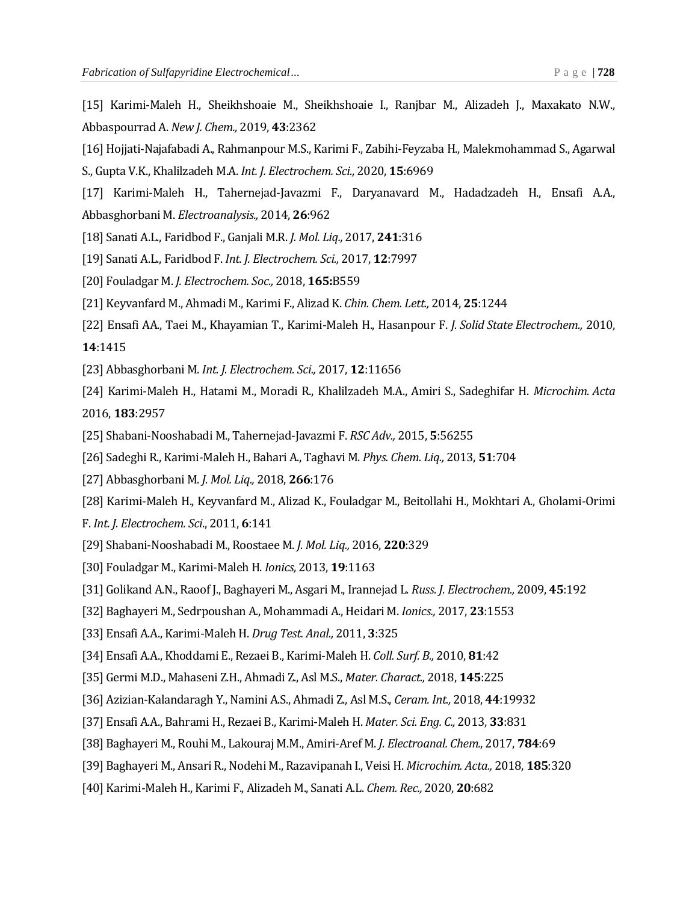- [15] Karimi-Maleh H., Sheikhshoaie M., Sheikhshoaie I., Ranjbar M., Alizadeh J., Maxakato N.W., Abbaspourrad A. *New J. Chem.,* 2019, **43**:2362
- [16] Hojjati-Najafabadi A., Rahmanpour M.S., Karimi F., Zabihi-Feyzaba H., Malekmohammad S., Agarwal
- S., Gupta V.K., Khalilzadeh M.A. *Int. J. Electrochem. Sci.,* 2020, **15**:6969
- [17] Karimi‐Maleh H., Tahernejad‐Javazmi F., Daryanavard M., Hadadzadeh H., Ensafi A.A., Abbasghorbani M. *Electroanalysis.,* 2014, **26**:962
- [18] Sanati A.L., Faridbod F., Ganjali M.R. *J. Mol. Liq.,* 2017, **241**:316
- [19] Sanati A.L., Faridbod F. *Int. J. Electrochem. Sci.,* 2017, **12**:7997
- [20] Fouladgar M. *J. Electrochem. Soc.,* 2018, **165:**B559
- [21] Keyvanfard M., Ahmadi M., Karimi F., Alizad K. *Chin. Chem. Lett.,* 2014, **25**:1244
- [22] Ensafi AA., Taei M., Khayamian T., Karimi-Maleh H., Hasanpour F. *J. Solid State Electrochem.,* 2010, **14**:1415
- [23] Abbasghorbani M. *Int. J. Electrochem. Sci.,* 2017, **12**:11656
- [24] Karimi-Maleh H., Hatami M., Moradi R., Khalilzadeh M.A., Amiri S., Sadeghifar H. *Microchim. Acta* 2016, **183**:2957
- [25] Shabani-Nooshabadi M., Tahernejad-Javazmi F. *RSC Adv.,* 2015, **5**:56255
- [26] Sadeghi R., Karimi-Maleh H., Bahari A., Taghavi M. *Phys. Chem. Liq.,* 2013, **51**:704
- [27] Abbasghorbani M. *J. Mol. Liq.,* 2018, **266**:176
- [28] Karimi-Maleh H., Keyvanfard M., Alizad K., Fouladgar M., Beitollahi H., Mokhtari A., Gholami-Orimi
- F. *Int. J. Electrochem. Sci*., 2011, **6**:141
- [29] Shabani-Nooshabadi M., Roostaee M. *J. Mol. Liq.,* 2016, **220**:329
- [30] Fouladgar M., Karimi-Maleh H. *Ionics,* 2013, **19**:1163
- [31] Golikand A.N., Raoof J., Baghayeri M., Asgari M., Irannejad L. *Russ. J. Electrochem.,* 2009, **45**:192
- [32] Baghayeri M., Sedrpoushan A., Mohammadi A., Heidari M. *Ionics.,* 2017, **23**:1553
- [33] Ensafi A.A., Karimi‐Maleh H. *Drug Test. Anal.,* 2011, **3**:325
- [34] Ensafi A.A., Khoddami E., Rezaei B., Karimi-Maleh H. *Coll. Surf. B.,* 2010, **81**:42
- [35] Germi M.D., Mahaseni Z.H., Ahmadi Z., Asl M.S., *Mater. Charact.,* 2018, **145**:225
- [36] Azizian-Kalandaragh Y., Namini A.S., Ahmadi Z., Asl M.S., *Ceram. Int.,* 2018, **44**:19932
- [37] Ensafi A.A., Bahrami H., Rezaei B., Karimi-Maleh H. *Mater. Sci. Eng. C.,* 2013, **33**:831
- [38] Baghayeri M., Rouhi M., Lakouraj M.M., Amiri-Aref M. *J. Electroanal. Chem.*, 2017, **784**:69
- [39] Baghayeri M., Ansari R., Nodehi M., Razavipanah I., Veisi H. *Microchim. Acta.,* 2018, **185**:320
- [40] Karimi‐Maleh H., Karimi F., Alizadeh M., Sanati A.L. *Chem. Rec.,* 2020, **20**:682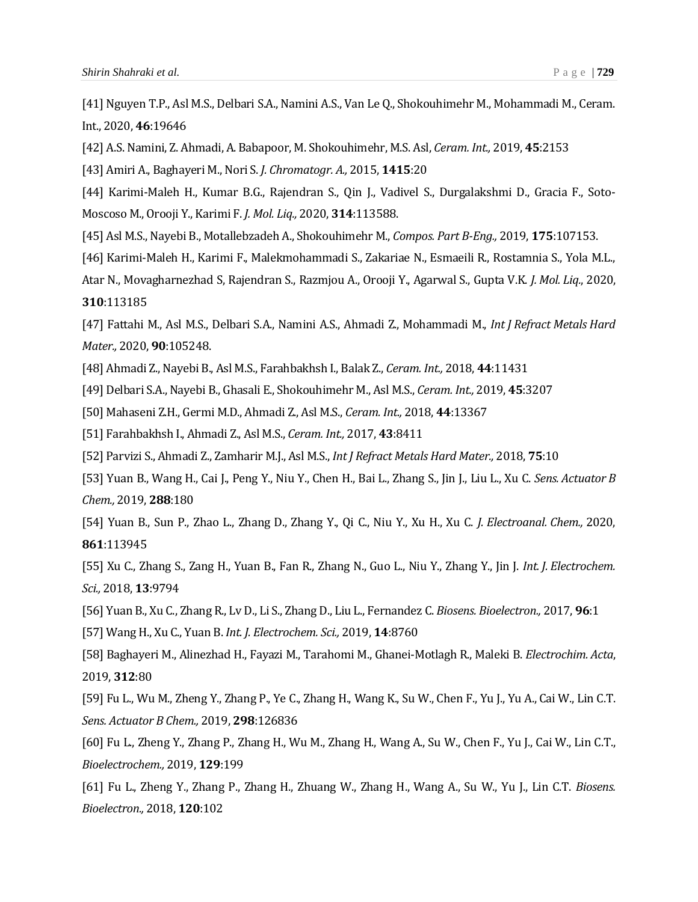[41] Nguyen T.P., Asl M.S., Delbari S.A., Namini A.S., Van Le Q., Shokouhimehr M., Mohammadi M., Ceram. Int., 2020, **46**:19646

[42] A.S. Namini, Z. Ahmadi, A. Babapoor, M. Shokouhimehr, M.S. Asl, *Ceram. Int.,* 2019, **45**:2153

[43] Amiri A., Baghayeri M., Nori S. *J. Chromatogr. A.,* 2015, **1415**:20

[44] Karimi-Maleh H., Kumar B.G., Rajendran S., Qin J., Vadivel S., Durgalakshmi D., Gracia F., Soto-Moscoso M., Orooji Y., Karimi F. *J. Mol. Liq.,* 2020, **314**:113588.

[45] Asl M.S., Nayebi B., Motallebzadeh A., Shokouhimehr M., *Compos. Part B-Eng.,* 2019, **175**:107153.

[46] Karimi-Maleh H., Karimi F., Malekmohammadi S., Zakariae N., Esmaeili R., Rostamnia S., Yola M.L.,

Atar N., Movagharnezhad S, Rajendran S., Razmjou A., Orooji Y., Agarwal S., Gupta V.K. *J. Mol. Liq.*, 2020, **310**:113185

[47] Fattahi M., Asl M.S., Delbari S.A., Namini A.S., Ahmadi Z., Mohammadi M., *Int J Refract Metals Hard Mater.,* 2020, **90**:105248.

[48] Ahmadi Z., Nayebi B., Asl M.S., Farahbakhsh I., Balak Z., *Ceram. Int.,* 2018, **44**:11431

[49] Delbari S.A., Nayebi B., Ghasali E., Shokouhimehr M., Asl M.S., *Ceram. Int.,* 2019, **45**:3207

[50] Mahaseni Z.H., Germi M.D., Ahmadi Z., Asl M.S., *Ceram. Int.,* 2018, **44**:13367

[51] Farahbakhsh I., Ahmadi Z., Asl M.S., *Ceram. Int.,* 2017, **43**:8411

[52] Parvizi S., Ahmadi Z., Zamharir M.J., Asl M.S., *Int J Refract Metals Hard Mater.,* 2018, **75**:10

[53] Yuan B., Wang H., Cai J., Peng Y., Niu Y., Chen H., Bai L., Zhang S., Jin J., Liu L., Xu C. *Sens. Actuator B Chem.,* 2019, **288**:180

[54] Yuan B., Sun P., Zhao L., Zhang D., Zhang Y., Qi C., Niu Y., Xu H., Xu C. *J. Electroanal. Chem.,* 2020, **861**:113945

[55] Xu C., Zhang S., Zang H., Yuan B., Fan R., Zhang N., Guo L., Niu Y., Zhang Y., Jin J. *Int. J. Electrochem. Sci.,* 2018, **13**:9794

[56] Yuan B., Xu C., Zhang R., Lv D., Li S., Zhang D., Liu L., Fernandez C. *Biosens. Bioelectron.,* 2017, **96**:1

[57] Wang H., Xu C., Yuan B. *Int. J. Electrochem. Sci.,* 2019, **14**:8760

[58] Baghayeri M., Alinezhad H., Fayazi M., Tarahomi M., Ghanei-Motlagh R., Maleki B. *Electrochim. Acta*, 2019, **312**:80

[59] Fu L., Wu M., Zheng Y., Zhang P., Ye C., Zhang H., Wang K., Su W., Chen F., Yu J., Yu A., Cai W., Lin C.T. *Sens. Actuator B Chem.,* 2019, **298**:126836

[60] Fu L., Zheng Y., Zhang P., Zhang H., Wu M., Zhang H., Wang A., Su W., Chen F., Yu J., Cai W., Lin C.T., *Bioelectrochem.,* 2019, **129**:199

[61] Fu L., Zheng Y., Zhang P., Zhang H., Zhuang W., Zhang H., Wang A., Su W., Yu J., Lin C.T. *Biosens. Bioelectron.,* 2018, **120**:102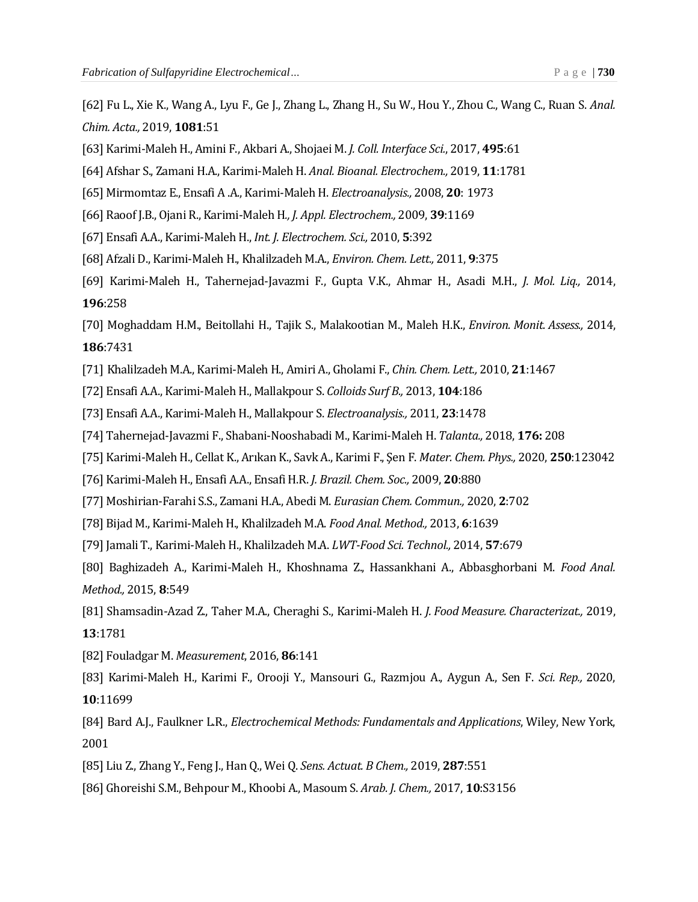- [62] Fu L., Xie K., Wang A., Lyu F., Ge J., Zhang L., Zhang H., Su W., Hou Y., Zhou C., Wang C., Ruan S. *Anal. Chim. Acta.,* 2019, **1081**:51
- [63] Karimi-Maleh H., Amini F., Akbari A., Shojaei M. *J. Coll. Interface Sci.*, 2017, **495**:61
- [64] Afshar S., Zamani H.A., Karimi-Maleh H. *Anal. Bioanal. Electrochem.,* 2019, **11**:1781
- [65] Mirmomtaz E., Ensafi A .A., Karimi-Maleh H. *Electroanalysis.,* 2008, **20**: 1973
- [66] Raoof J.B., Ojani R., Karimi-Maleh H*., J. Appl. Electrochem.,* 2009, **39**:1169
- [67] Ensafi A.A., Karimi-Maleh H., *Int. J. Electrochem. Sci.,* 2010, **5**:392
- [68] Afzali D., Karimi-Maleh H., Khalilzadeh M.A., *Environ. Chem. Lett.,* 2011, **9**:375
- [69] Karimi-Maleh H., Tahernejad-Javazmi F., Gupta V.K., Ahmar H., Asadi M.H., *J. Mol. Liq.,* 2014, **196**:258
- [70] Moghaddam H.M., Beitollahi H., Tajik S., Malakootian M., Maleh H.K., *Environ. Monit. Assess.,* 2014, **186**:7431
- [71] Khalilzadeh M.A., Karimi-Maleh H., Amiri A., Gholami F., *Chin. Chem. Lett.,* 2010, **21**:1467
- [72] Ensafi A.A., Karimi-Maleh H., Mallakpour S. *Colloids Surf B.,* 2013, **104**:186
- [73] Ensafi A.A., Karimi-Maleh H., Mallakpour S. *Electroanalysis.,* 2011, **23**:1478
- [74] Tahernejad-Javazmi F., Shabani-Nooshabadi M., Karimi-Maleh H. *Talanta.,* 2018, **176:** 208
- [75] Karimi-Maleh H., Cellat K., Arıkan K., Savk A., Karimi F., Şen F. *Mater. Chem. Phys.,* 2020, **250**:123042
- [76] Karimi-Maleh H., Ensafi A.A., Ensafi H.R. *J. Brazil. Chem. Soc.,* 2009, **20**:880
- [77] Moshirian-Farahi S.S., Zamani H.A., Abedi M. *Eurasian Chem. Commun.,* 2020, **2**:702
- [78] Bijad M., Karimi-Maleh H., Khalilzadeh M.A. *Food Anal. Method.,* 2013, **6**:1639
- [79] Jamali T., Karimi-Maleh H., Khalilzadeh M.A. *LWT-Food Sci. Technol.,* 2014, **57**:679
- [80] Baghizadeh A., Karimi-Maleh H., Khoshnama Z., Hassankhani A., Abbasghorbani M. *Food Anal. Method.,* 2015, **8**:549
- [81] Shamsadin-Azad Z., Taher M.A., Cheraghi S., Karimi-Maleh H. *J. Food Measure. Characterizat.,* 2019, **13**:1781
- [82] Fouladgar M. *Measurement*, 2016, **86**:141
- [83] Karimi‐Maleh H., Karimi F., Orooji Y., Mansouri G., Razmjou A., Aygun A., Sen F. *Sci. Rep.,* 2020, **10**:11699
- [84] Bard A.J., Faulkner L.R., *Electrochemical Methods: Fundamentals and Applications*, Wiley, New York, 2001
- [85] Liu Z., Zhang Y., Feng J., Han Q., Wei Q. *Sens. Actuat. B Chem.,* 2019, **287**:551
- [86] Ghoreishi S.M., Behpour M., Khoobi A., Masoum S. *Arab. J. Chem.,* 2017, **10**:S3156